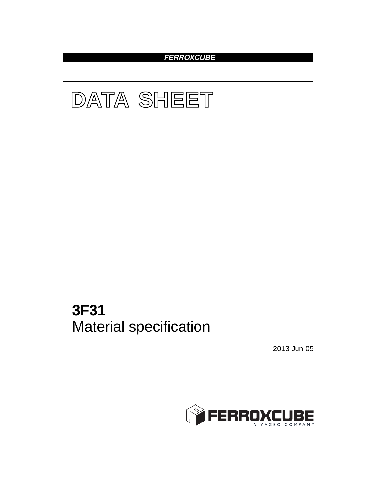## **FERROXCUBE**



2013 Jun 05

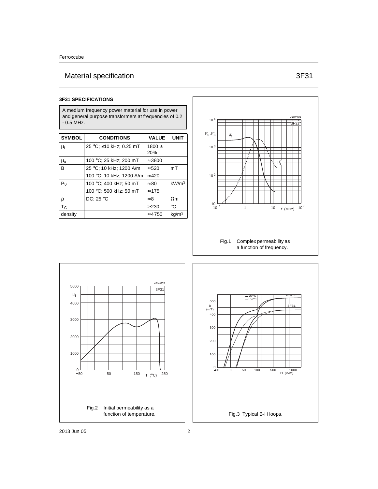# Material specification 3F31

A medium frequency power material for use in power and general purpose transformers at frequencies of 0.2 - 0.5 MHz.

| <b>SYMBOL</b>  | <b>CONDITIONS</b>        | <b>VALUE</b>      | <b>UNIT</b>       |
|----------------|--------------------------|-------------------|-------------------|
| μi             | 25 °C; ≤10 kHz; 0.25 mT  | 1800 $\pm$<br>20% |                   |
| $\mu_{a}$      | 100 °C; 25 kHz; 200 mT   | $\approx$ 3800    |                   |
| <sub>B</sub>   | 25 °C; 10 kHz; 1200 A/m  | $\approx$ 520     | mT                |
|                | 100 °C; 10 kHz; 1200 A/m | $\approx 420$     |                   |
| P <sub>V</sub> | 100 °C; 400 kHz; 50 mT   | $\approx 80$      | kW/m <sup>3</sup> |
|                | 100 °C; 500 kHz; 50 mT   | $\approx$ 175     |                   |
| ρ              | DC; $25 °C$              | $\approx 8$       | $\Omega$ m        |
| $T_{C}$        |                          | > 230             | $^{\circ}C$       |
| density        |                          | $\approx 4750$    | kg/m <sup>3</sup> |



a function of frequency.



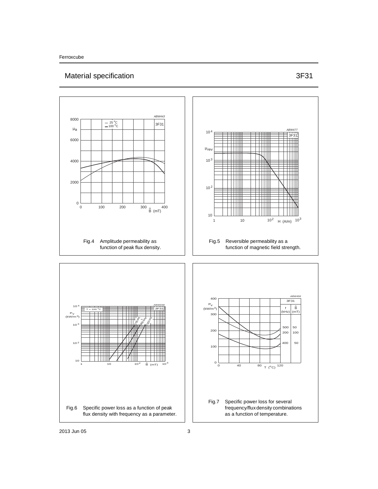## Material specification 3F31